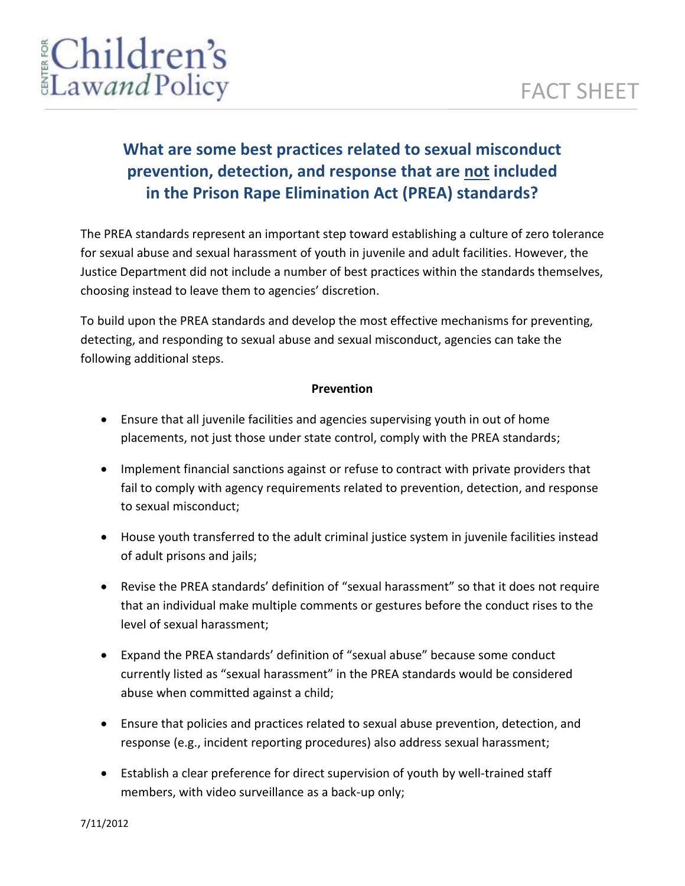# EChildren's

# **What are some best practices related to sexual misconduct prevention, detection, and response that are not included in the Prison Rape Elimination Act (PREA) standards?**

The PREA standards represent an important step toward establishing a culture of zero tolerance for sexual abuse and sexual harassment of youth in juvenile and adult facilities. However, the Justice Department did not include a number of best practices within the standards themselves, choosing instead to leave them to agencies' discretion.

To build upon the PREA standards and develop the most effective mechanisms for preventing, detecting, and responding to sexual abuse and sexual misconduct, agencies can take the following additional steps.

### **Prevention**

- Ensure that all juvenile facilities and agencies supervising youth in out of home placements, not just those under state control, comply with the PREA standards;
- Implement financial sanctions against or refuse to contract with private providers that fail to comply with agency requirements related to prevention, detection, and response to sexual misconduct;
- House youth transferred to the adult criminal justice system in juvenile facilities instead of adult prisons and jails;
- Revise the PREA standards' definition of "sexual harassment" so that it does not require that an individual make multiple comments or gestures before the conduct rises to the level of sexual harassment;
- Expand the PREA standards' definition of "sexual abuse" because some conduct currently listed as "sexual harassment" in the PREA standards would be considered abuse when committed against a child;
- Ensure that policies and practices related to sexual abuse prevention, detection, and response (e.g., incident reporting procedures) also address sexual harassment;
- Establish a clear preference for direct supervision of youth by well-trained staff members, with video surveillance as a back-up only;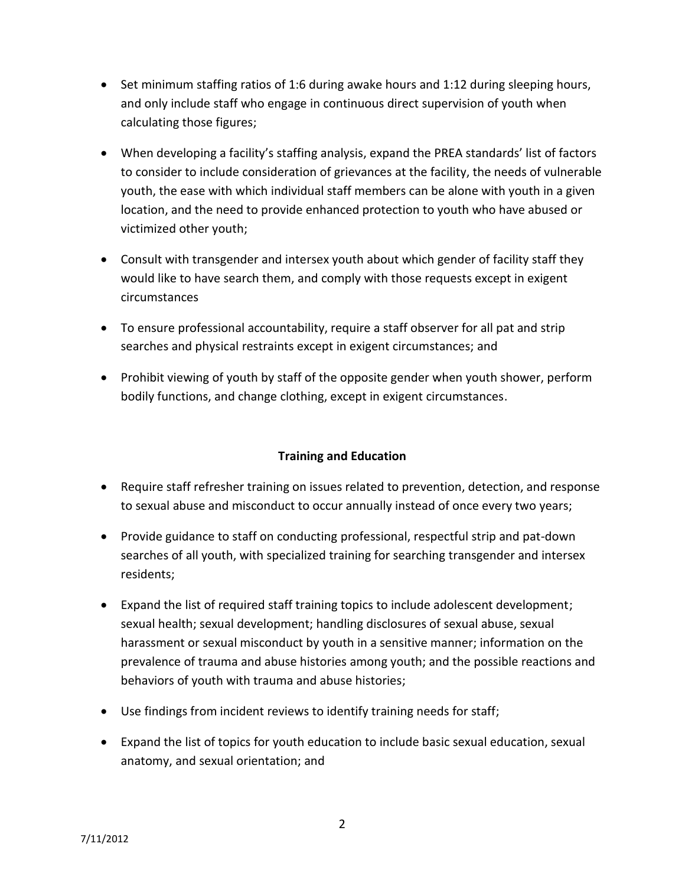- Set minimum staffing ratios of 1:6 during awake hours and 1:12 during sleeping hours, and only include staff who engage in continuous direct supervision of youth when calculating those figures;
- When developing a facility's staffing analysis, expand the PREA standards' list of factors to consider to include consideration of grievances at the facility, the needs of vulnerable youth, the ease with which individual staff members can be alone with youth in a given location, and the need to provide enhanced protection to youth who have abused or victimized other youth;
- Consult with transgender and intersex youth about which gender of facility staff they would like to have search them, and comply with those requests except in exigent circumstances
- To ensure professional accountability, require a staff observer for all pat and strip searches and physical restraints except in exigent circumstances; and
- Prohibit viewing of youth by staff of the opposite gender when youth shower, perform bodily functions, and change clothing, except in exigent circumstances.

## **Training and Education**

- Require staff refresher training on issues related to prevention, detection, and response to sexual abuse and misconduct to occur annually instead of once every two years;
- Provide guidance to staff on conducting professional, respectful strip and pat-down searches of all youth, with specialized training for searching transgender and intersex residents;
- Expand the list of required staff training topics to include adolescent development; sexual health; sexual development; handling disclosures of sexual abuse, sexual harassment or sexual misconduct by youth in a sensitive manner; information on the prevalence of trauma and abuse histories among youth; and the possible reactions and behaviors of youth with trauma and abuse histories;
- Use findings from incident reviews to identify training needs for staff;
- Expand the list of topics for youth education to include basic sexual education, sexual anatomy, and sexual orientation; and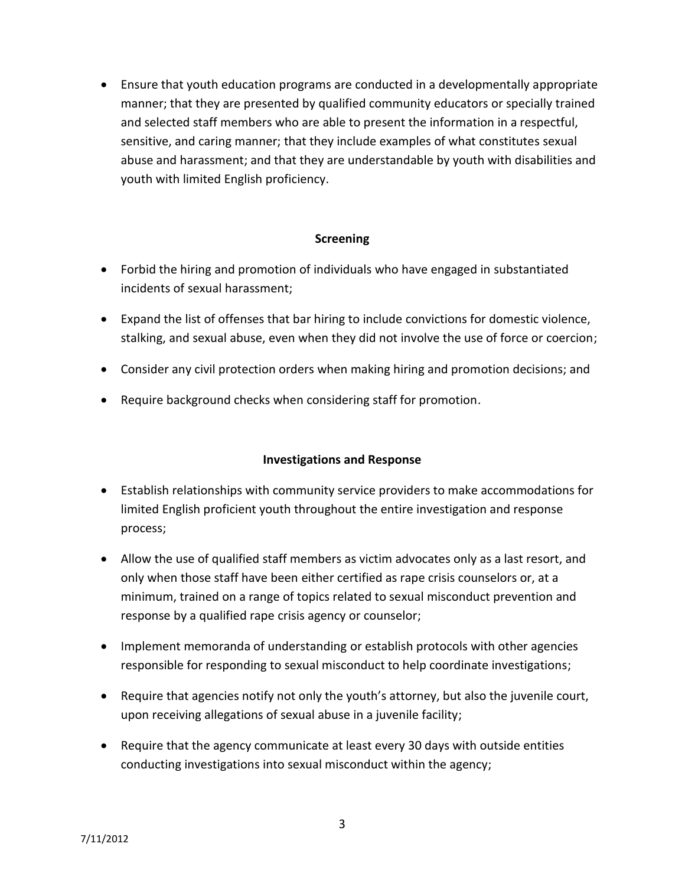Ensure that youth education programs are conducted in a developmentally appropriate manner; that they are presented by qualified community educators or specially trained and selected staff members who are able to present the information in a respectful, sensitive, and caring manner; that they include examples of what constitutes sexual abuse and harassment; and that they are understandable by youth with disabilities and youth with limited English proficiency.

#### **Screening**

- Forbid the hiring and promotion of individuals who have engaged in substantiated incidents of sexual harassment;
- Expand the list of offenses that bar hiring to include convictions for domestic violence, stalking, and sexual abuse, even when they did not involve the use of force or coercion;
- Consider any civil protection orders when making hiring and promotion decisions; and
- Require background checks when considering staff for promotion.

#### **Investigations and Response**

- Establish relationships with community service providers to make accommodations for limited English proficient youth throughout the entire investigation and response process;
- Allow the use of qualified staff members as victim advocates only as a last resort, and only when those staff have been either certified as rape crisis counselors or, at a minimum, trained on a range of topics related to sexual misconduct prevention and response by a qualified rape crisis agency or counselor;
- Implement memoranda of understanding or establish protocols with other agencies responsible for responding to sexual misconduct to help coordinate investigations;
- Require that agencies notify not only the youth's attorney, but also the juvenile court, upon receiving allegations of sexual abuse in a juvenile facility;
- Require that the agency communicate at least every 30 days with outside entities conducting investigations into sexual misconduct within the agency;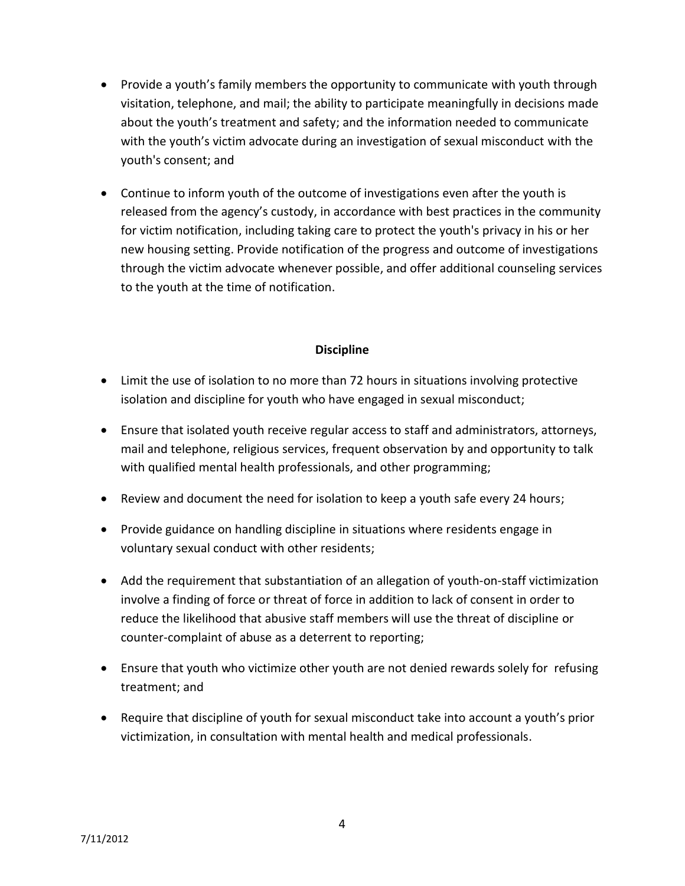- Provide a youth's family members the opportunity to communicate with youth through visitation, telephone, and mail; the ability to participate meaningfully in decisions made about the youth's treatment and safety; and the information needed to communicate with the youth's victim advocate during an investigation of sexual misconduct with the youth's consent; and
- Continue to inform youth of the outcome of investigations even after the youth is released from the agency's custody, in accordance with best practices in the community for victim notification, including taking care to protect the youth's privacy in his or her new housing setting. Provide notification of the progress and outcome of investigations through the victim advocate whenever possible, and offer additional counseling services to the youth at the time of notification.

#### **Discipline**

- Limit the use of isolation to no more than 72 hours in situations involving protective isolation and discipline for youth who have engaged in sexual misconduct;
- Ensure that isolated youth receive regular access to staff and administrators, attorneys, mail and telephone, religious services, frequent observation by and opportunity to talk with qualified mental health professionals, and other programming;
- Review and document the need for isolation to keep a youth safe every 24 hours;
- Provide guidance on handling discipline in situations where residents engage in voluntary sexual conduct with other residents;
- Add the requirement that substantiation of an allegation of youth-on-staff victimization involve a finding of force or threat of force in addition to lack of consent in order to reduce the likelihood that abusive staff members will use the threat of discipline or counter-complaint of abuse as a deterrent to reporting;
- Ensure that youth who victimize other youth are not denied rewards solely for refusing treatment; and
- Require that discipline of youth for sexual misconduct take into account a youth's prior victimization, in consultation with mental health and medical professionals.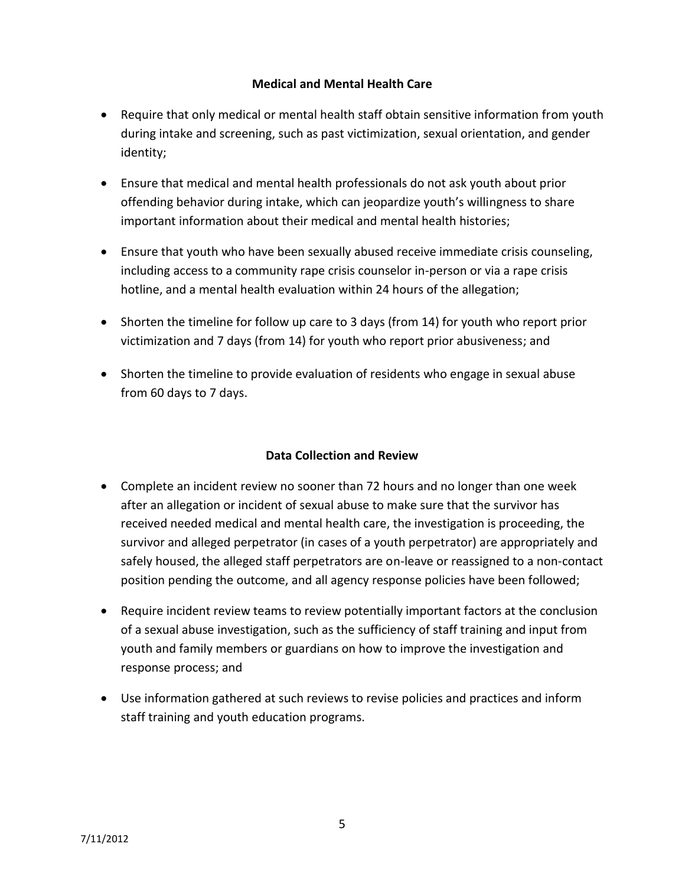#### **Medical and Mental Health Care**

- Require that only medical or mental health staff obtain sensitive information from youth during intake and screening, such as past victimization, sexual orientation, and gender identity;
- Ensure that medical and mental health professionals do not ask youth about prior offending behavior during intake, which can jeopardize youth's willingness to share important information about their medical and mental health histories;
- Ensure that youth who have been sexually abused receive immediate crisis counseling, including access to a community rape crisis counselor in-person or via a rape crisis hotline, and a mental health evaluation within 24 hours of the allegation;
- Shorten the timeline for follow up care to 3 days (from 14) for youth who report prior victimization and 7 days (from 14) for youth who report prior abusiveness; and
- Shorten the timeline to provide evaluation of residents who engage in sexual abuse from 60 days to 7 days.

#### **Data Collection and Review**

- Complete an incident review no sooner than 72 hours and no longer than one week after an allegation or incident of sexual abuse to make sure that the survivor has received needed medical and mental health care, the investigation is proceeding, the survivor and alleged perpetrator (in cases of a youth perpetrator) are appropriately and safely housed, the alleged staff perpetrators are on-leave or reassigned to a non-contact position pending the outcome, and all agency response policies have been followed;
- Require incident review teams to review potentially important factors at the conclusion of a sexual abuse investigation, such as the sufficiency of staff training and input from youth and family members or guardians on how to improve the investigation and response process; and
- Use information gathered at such reviews to revise policies and practices and inform staff training and youth education programs.